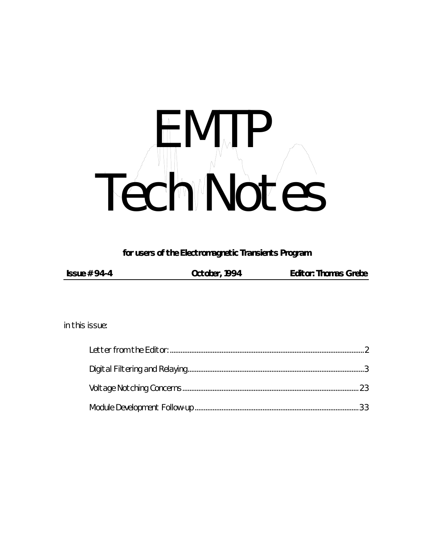# H MTP Tech Notes

#### *for users of the Electromagnetic Transients Program*

| Issue $# 94-4$ | October, 1994 | <b>Editor: Thomas Grebe</b> |
|----------------|---------------|-----------------------------|
|                |               |                             |

*in this issue:*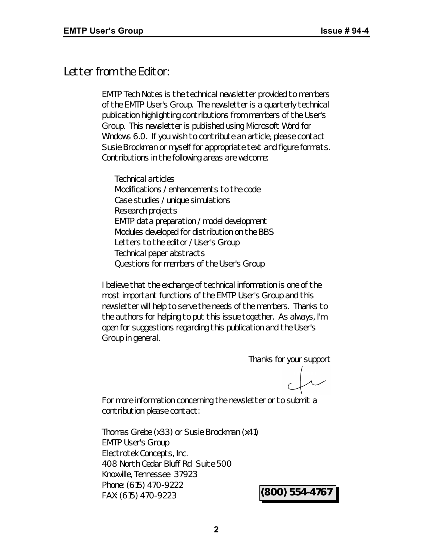## *Letter from the Editor:*

*EMTP Tech Notes* is the technical newsletter provided to members of the EMTP User's Group. The newsletter is a quarterly technical publication highlighting contributions from members of the User's Group. This newsletter is published using Microsoft Word for Windows 6.0. If you wish to contribute an article, please contact Susie Brockman or myself for appropriate text and figure formats. Contributions in the following areas are welcome:

Technical articles Modifications / enhancements to the code Case studies / unique simulations Research projects EMTP data preparation / model development Modules developed for distribution on the BBS Letters to the editor / User's Group Technical paper abstracts Questions for members of the User's Group

I believe that the exchange of technical information is one of the most important functions of the EMTP User's Group and this newsletter will help to serve the needs of the members. Thanks to the authors for helping to put this issue together. As always, I'm open for suggestions regarding this publication and the User's Group in general.

Thanks for your support

For more information concerning the newsletter or to submit a contribution please contact:

Thomas Grebe (x33) or Susie Brockman (x41) EMTP User's Group Electrotek Concepts, Inc. 408 North Cedar Bluff Rd Suite 500 Knoxville, Tennessee 37923 Phone: (615) 470-9222 FAX: (615) 470-9223 **(800) 554-4767**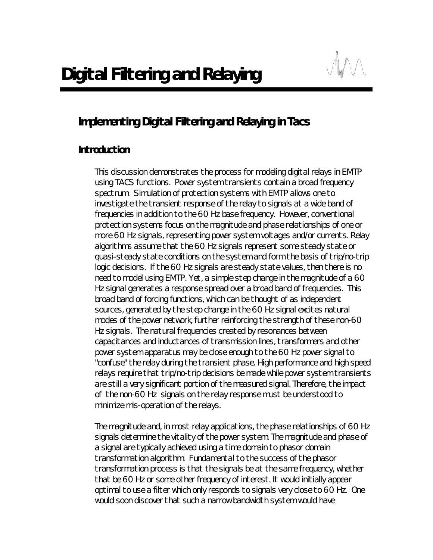# *Implementing Digital Filtering and Relaying in Tacs*

## *Introduction*

This discussion demonstrates the process for modeling digital relays in EMTP using TACS functions. Power system transients contain a broad frequency spectrum. Simulation of protection systems with EMTP allows one to investigate the transient response of the relay to signals at a wide band of frequencies in addition to the 60 Hz base frequency. However, conventional protection systems focus on the magnitude and phase relationships of one or more 60 Hz signals, representing power system voltages and/or currents. Relay algorithms assume that the 60 Hz signals represent some steady state or quasi-steady state conditions on the system and form the basis of trip/no-trip logic decisions. If the 60 Hz signals are steady state values, then there is no need to model using EMTP. Yet, a simple step change in the magnitude of a 60 Hz signal generates a response spread over a broad band of frequencies. This broad band of forcing functions, which can be thought of as independent sources, generated by the step change in the 60 Hz signal excites natural modes of the power network, further reinforcing the strength of these non-60 Hz signals. The natural frequencies created by resonances between capacitances and inductances of transmission lines, transformers and other power system apparatus may be close enough to the 60 Hz power signal to "confuse" the relay during the transient phase. High performance and high speed relays require that trip/no-trip decisions be made while power system transients are still a very significant portion of the measured signal. Therefore, the impact of the non-60 Hz signals on the relay response must be understood to minimize mis-operation of the relays.

The magnitude and, in most relay applications, the phase relationships of 60 Hz signals determine the vitality of the power system. The magnitude and phase of a signal are typically achieved using a time domain to phasor domain transformation algorithm. Fundamental to the success of the phasor transformation process is that the signals be at the same frequency, whether that be 60 Hz or some other frequency of interest. It would initially appear optimal to use a filter which only responds to signals very close to 60 Hz. One would soon discover that such a narrow bandwidth system would have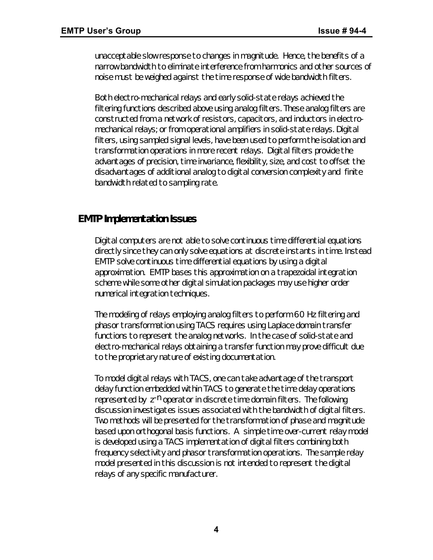unacceptable slow response to changes in magnitude. Hence, the benefits of a narrow bandwidth to eliminate interference from harmonics and other sources of noise must be weighed against the time response of wide bandwidth filters.

Both electro-mechanical relays and early solid-state relays achieved the filtering functions described above using analog filters. These analog filters are constructed from a network of resistors, capacitors, and inductors in electromechanical relays; or from operational amplifiers in solid-state relays. Digital filters, using sampled signal levels, have been used to perform the isolation and transformation operations in more recent relays. Digital filters provide the advantages of precision, time invariance, flexibility, size, and cost to offset the disadvantages of additional analog to digital conversion complexity and finite bandwidth related to sampling rate.

## *EMTP Implementation Issues*

Digital computers are not able to solve continuous time differential equations directly since they can only solve equations at discrete instants in time. Instead EMTP solve continuous time differential equations by using a digital approximation. EMTP bases this approximation on a trapezoidal integration scheme while some other digital simulation packages may use higher order numerical integration techniques.

The modeling of relays employing analog filters to perform 60 Hz filtering and phasor transformation using TACS requires using Laplace domain transfer functions to represent the analog networks. In the case of solid-state and electro-mechanical relays obtaining a transfer function may prove difficult due to the proprietary nature of existing documentation.

To model digital relays with TACS, one can take advantage of the transport delay function embedded within TACS to generate the time delay operations represented by *z -n* operator in discrete time domain filters. The following discussion investigates issues associated with the bandwidth of digital filters. Two methods will be presented for the transformation of phase and magnitude based upon orthogonal basis functions. A simple time over-current relay model is developed using a TACS implementation of digital filters combining both frequency selectivity and phasor transformation operations. The sample relay model presented in this discussion is not intended to represent the digital relays of any specific manufacturer.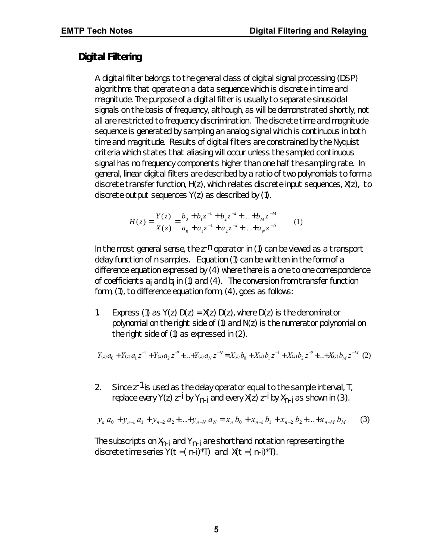## *Digital Filtering*

A digital filter belongs to the general class of digital signal processing (DSP) algorithms that operate on a data sequence which is discrete in time and magnitude. The purpose of a digital filter is usually to separate sinusoidal signals on the basis of frequency, although, as will be demonstrated shortly, not all are restricted to frequency discrimination. The discrete time and magnitude sequence is generated by sampling an analog signal which is continuous in both time and magnitude. Results of digital filters are constrained by the Nyquist criteria which states that aliasing will occur unless the sampled continuous signal has no frequency components higher than one half the sampling rate. In general, linear digital filters are described by a ratio of two polynomials to form a discrete transfer function, H(z), which relates discrete input sequences, X(z), to discrete output sequences Y(z) as described by (1).

$$
H(z) = \frac{Y(z)}{X(z)} = \frac{b_0 + b_1 z^{-1} + b_2 z^{-2} + \dots + b_M z^{-M}}{a_0 + a_1 z^{-1} + a_2 z^{-2} + \dots + a_N z^{-N}}
$$
 (1)

In the most general sense, the *z -n* operator in (1) can be viewed as a transport delay function of *n* samples. Equation (1) can be written in the form of a difference equation expressed by (4) where there is a one to one correspondence of coefficients  $a_j$  and  $b_j$  in (1) and (4). The conversion from transfer function form, (1), to difference equation form, (4), goes as follows:

1. Express (1) as  $Y(z) D(z) = X(z) D(z)$ , where  $D(z)$  is the denominator polynomial on the right side of (1) and *N(z)* is the numerator polynomial on the right side of (1) as expressed in (2).

$$
Y_{(z)}a_0 + Y_{(z)}a_1 z^{-1} + Y_{(z)}a_2 z^{-2} + \dots + Y_{(z)}a_N z^{-N} = X_{(z)}b_0 + X_{(z)}b_1 z^{-1} + X_{(z)}b_2 z^{-2} + \dots + X_{(z)}b_M z^{-M}
$$
 (2)

2. Since *z -1* is used as the delay operator equal to the sample interval, T, replace every  $Y(z)$   $z^{-1}$  by  $Y_{n-i}$  and every  $X(z)$   $z^{-1}$  by  $X_{n-i}$  as shown in (3).

$$
y_n a_0 + y_{n-1} a_1 + y_{n-2} a_2 + \dots + y_{n-N} a_N = x_n b_0 + x_{n-1} b_1 + x_{n-2} b_2 + \dots + x_{n-M} b_M \tag{3}
$$

The subscripts on *Xn-i* and *Yn-i* are shorthand notation representing the discrete time series  $Y(t = (n-i)*T)$  and  $X(t = (n-i)*T)$ .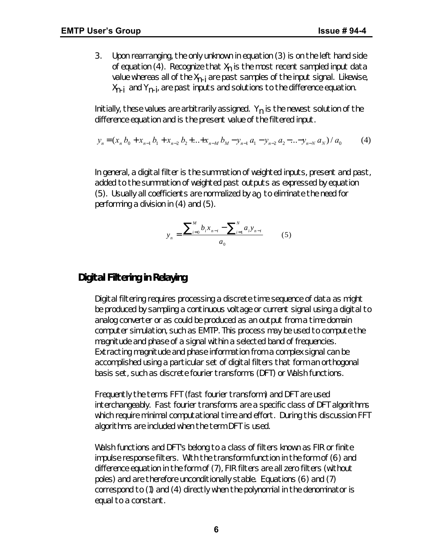3. Upon rearranging, the only unknown in equation (3) is on the left hand side of equation (4). Recognize that  $X_{\textit{\textbf{p}}}$  is the most recent sampled input data value whereas all of the  $X_{n-i}$  are past samples of the input signal. Likewise, *Xn-i* and *Yn-i*, are past inputs and solutions to the difference equation.

Initially, these values are arbitrarily assigned. *Yn* is the newest solution of the difference equation and is the present value of the filtered input.

$$
y_n = (x_n b_0 + x_{n-1} b_1 + x_{n-2} b_2 + ... + x_{n-M} b_M - y_{n-1} a_1 - y_{n-2} a_2 - ... - y_{n-N} a_N) / a_0
$$
 (4)

In general, a digital filter is the summation of weighted inputs, present and past, added to the summation of weighted past outputs as expressed by equation (5). Usually all coefficients are normalized by  $a<sub>0</sub>$  to eliminate the need for performing a division in (4) and (5).

$$
y_{n} = \frac{\sum_{i=0}^{M} b_{i}x_{n-i} - \sum_{i=1}^{N} a_{i}y_{n-i}}{a_{0}} \tag{5}
$$

## *Digital Filtering in Relaying*

Digital filtering requires processing a discrete time sequence of data as might be produced by sampling a continuous voltage or current signal using a digital to analog converter or as could be produced as an output from a time domain computer simulation, such as EMTP. This process may be used to compute the magnitude and phase of a signal within a selected band of frequencies. Extracting magnitude and phase information from a complex signal can be accomplished using a particular set of digital filters that form an orthogonal basis set, such as discrete fourier transforms (DFT) or Walsh functions.

Frequently the terms FFT (fast fourier transform) and DFT are used interchangeably. Fast fourier transforms are a specific class of DFT algorithms which require minimal computational time and effort. During this discussion FFT algorithms are included when the term DFT is used.

Walsh functions and DFT's belong to a class of filters known as FIR or finite impulse response filters. With the transform function in the form of (6) and difference equation in the form of (7), FIR filters are all zero filters (without poles) and are therefore unconditionally stable. Equations (6) and (7) correspond to (1) and (4) directly when the polynomial in the denominator is equal to a constant.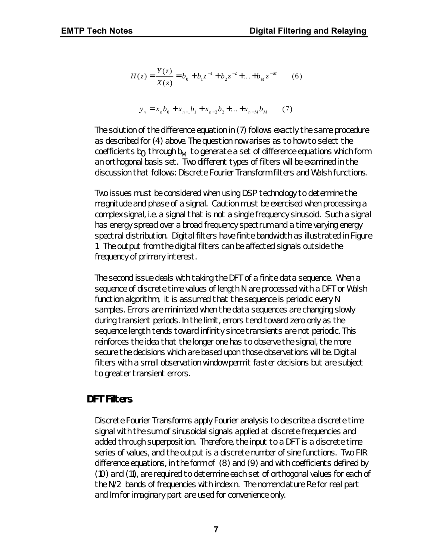$$
H(z) = \frac{Y(z)}{X(z)} = b_0 + b_1 z^{-1} + b_2 z^{-2} + \dots + b_M z^{-M}
$$
 (6)

$$
y_n = x_n b_0 + x_{n-1} b_1 + x_{n-2} b_2 + \dots + x_{n-M} b_M \tag{7}
$$

The solution of the difference equation in (7) follows exactly the same procedure as described for (4) above. The question now arises as to how to select the coefficients  $b<sub>O</sub>$  through  $b<sub>M</sub>$  to generate a set of difference equations which form an orthogonal basis set. Two different types of filters will be examined in the discussion that follows: Discrete Fourier Transform filters and Walsh functions.

Two issues must be considered when using DSP technology to determine the magnitude and phase of a signal. Caution must be exercised when processing a complex signal, i.e. a signal that is not a single frequency sinusoid. Such a signal has energy spread over a broad frequency spectrum and a time varying energy spectral distribution. Digital filters have finite bandwidth as illustrated in Figure 1. The output from the digital filters can be affected signals outside the frequency of primary interest.

The second issue deals with taking the DFT of a finite data sequence. When a sequence of discrete time values of length N are processed with a DFT or Walsh function algorithm, it is assumed that the sequence is periodic every N samples. Errors are minimized when the data sequences are changing slowly during transient periods. In the limit, errors tend toward zero only as the sequence length tends toward infinity since transients are not periodic. This reinforces the idea that the longer one has to observe the signal, the more secure the decisions which are based upon those observations will be. Digital filters with a small observation window permit faster decisions but are subject to greater transient errors.

## *DFT Filters*

Discrete Fourier Transforms apply Fourier analysis to describe a discrete time signal with the sum of sinusoidal signals applied at discrete frequencies and added through superposition. Therefore, the input to a DFT is a discrete time series of values, and the output is a discrete number of sine functions. Two FIR difference equations, in the form of (8) and (9) and with coefficients defined by (10) and (11), are required to determine each set of orthogonal values for each of the N/2 bands of frequencies with index *n*. The nomenclature *Re* for real part and *Im* for imaginary part are used for convenience only.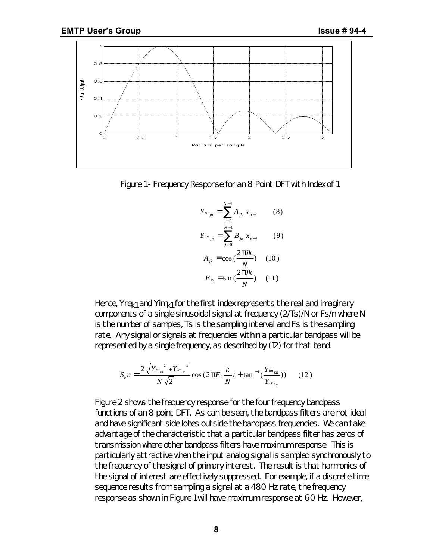

*Figure 1 - Frequency Response for an 8 Point DFT with Index of 1*

$$
Y_{re_{jn}} = \sum_{j=0}^{N-1} A_{jk} x_{n-i}
$$
 (8)  
\n
$$
Y_{im_{jn}} = \sum_{j=0}^{N-1} B_{jk} x_{n-i}
$$
 (9)  
\n
$$
A_{jk} = \cos\left(\frac{2\mathbf{p}jk}{N}\right)
$$
 (10)  
\n
$$
B_{jk} = \sin\left(\frac{2\mathbf{p}jk}{N}\right)
$$
 (11)

Hence, *Yre<sub>k1</sub>* and *Yim<sub>k1</sub>* for the first index represents the real and imaginary components of a single sinusoidal signal at frequency (2/*Ts*)/N or *Fs/n* where N is the number of samples, *Ts* is the sampling interval and *Fs* is the sampling rate. Any signal or signals at frequencies within a particular bandpass will be represented by a single frequency, as described by (12) for that band.

$$
S_{k} n = \frac{2\sqrt{Y_{re_{kn}}^{2} + Y_{im_{kn}}^{2}}}{N\sqrt{2}} \cos(2pF_{s}\frac{k}{N}t + \tan^{-1}(\frac{Y_{im_{kn}}}{Y_{re_{kn}}}))
$$
 (12)

Figure 2 shows the frequency response for the four frequency bandpass functions of an 8 point DFT. As can be seen, the bandpass filters are not ideal and have significant side lobes outside the bandpass frequencies. We can take advantage of the characteristic that a particular bandpass filter has zeros of transmission where other bandpass filters have maximum response. This is particularly attractive when the input analog signal is sampled synchronously to the frequency of the signal of primary interest. The result is that harmonics of the signal of interest are effectively suppressed. For example, if a discrete time sequence results from sampling a signal at a 480 Hz rate, the frequency response as shown in Figure 1 will have maximum response at 60 Hz. However,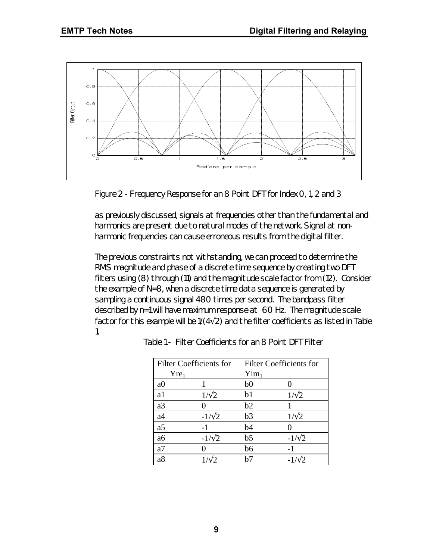

Figure 2 - Frequency Response for an 8 Point DFT for Index 0, 1, 2 and 3

as previously discussed, signals at frequencies other than the fundamental and harmonics are present due to natural modes of the network. Signal at nonharmonic frequencies can cause erroneous results from the digital filter.

The previous constraints not withstanding, we can proceed to determine the RMS magnitude and phase of a discrete time sequence by creating two DFT filters using (8) through (11) and the magnitude scale factor from (12). Consider the example of N=8, when a discrete time data sequence is generated by sampling a continuous signal 480 times per second. The bandpass filter described by *n*=1 will have maximum response at 60 Hz. The magnitude scale factor for this example will be  $1/(4\sqrt{2})$  and the filter coefficients as listed in Table 1.

| <b>Filter Coefficients for</b> |               | <b>Filter Coefficients for</b> |               |  |  |  |
|--------------------------------|---------------|--------------------------------|---------------|--|--|--|
| $Yre_1$                        |               | $\text{Yim}_1$                 |               |  |  |  |
| a <sub>0</sub>                 |               | b0                             |               |  |  |  |
| a1                             | $1/\sqrt{2}$  | b1                             | $1/\sqrt{2}$  |  |  |  |
| a3                             | 0             | b2                             |               |  |  |  |
| a4                             | $-1/\sqrt{2}$ | b3                             | $1/\sqrt{2}$  |  |  |  |
| a <sub>5</sub>                 | $-1$          | b4                             |               |  |  |  |
| a <sub>6</sub>                 | $-1/\sqrt{2}$ | b <sub>5</sub>                 | $-1/\sqrt{2}$ |  |  |  |
| a7                             | 0             | b6                             | $-1$          |  |  |  |
| a8                             | $\land$ ר     | b <sub>7</sub>                 |               |  |  |  |

*Table 1 - Filter Coefficients for an 8 Point DFT Filter*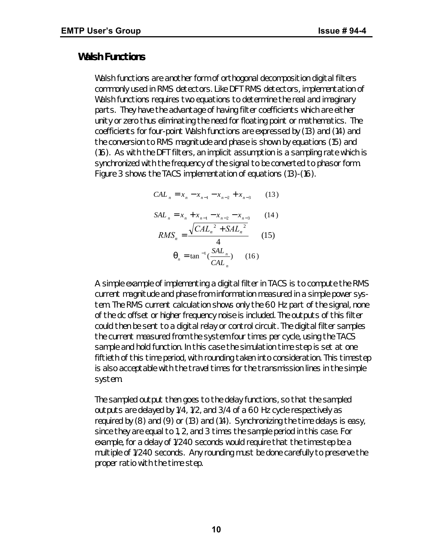#### *Walsh Functions*

Walsh functions are another form of orthogonal decomposition digital filters commonly used in RMS detectors. Like DFT RMS detectors, implementation of Walsh functions requires two equations to determine the real and imaginary parts. They have the advantage of having filter coefficients which are either unity or zero thus eliminating the need for floating point or mathematics. The coefficients for four-point Walsh functions are expressed by (13) and (14) and the conversion to RMS magnitude and phase is shown by equations (15) and (16). As with the DFT filters, an implicit assumption is a sampling rate which is synchronized with the frequency of the signal to be converted to phasor form. Figure 3 shows the TACS implementation of equations (13)-(16).

$$
CAL_{n} = x_{n} - x_{n-1} - x_{n-2} + x_{n-3}
$$
 (13)  
\n
$$
SAL_{n} = x_{n} + x_{n-1} - x_{n-2} - x_{n-3}
$$
 (14)  
\n
$$
RMS_{n} = \frac{\sqrt{CAL_{n}^{2} + SAL_{n}^{2}}}{4}
$$
 (15)  
\n
$$
\mathbf{q}_{n} = \tan^{-1}(\frac{SAL_{n}}{CAL_{n}})
$$
 (16)

A simple example of implementing a digital filter in TACS is to compute the RMS current magnitude and phase from information measured in a simple power system. The RMS current calculation shows only the 60 Hz part of the signal, none of the dc offset or higher frequency noise is included. The outputs of this filter could then be sent to a digital relay or control circuit. The digital filter samples the current measured from the system four times per cycle, using the TACS sample and hold function. In this case the simulation time step is set at one fiftieth of this time period, with rounding taken into consideration. This timestep is also acceptable with the travel times for the transmission lines in the simple system.

The sampled output then goes to the delay functions, so that the sampled outputs are delayed by 1/4, 1/2, and 3/4 of a 60 Hz cycle respectively as required by (8) and (9) or (13) and (14). Synchronizing the time delays is easy, since they are equal to 1, 2, and 3 times the sample period in this case. For example, for a delay of 1/240 seconds would require that the timestep be a multiple of 1/240 seconds. Any rounding must be done carefully to preserve the proper ratio with the time step.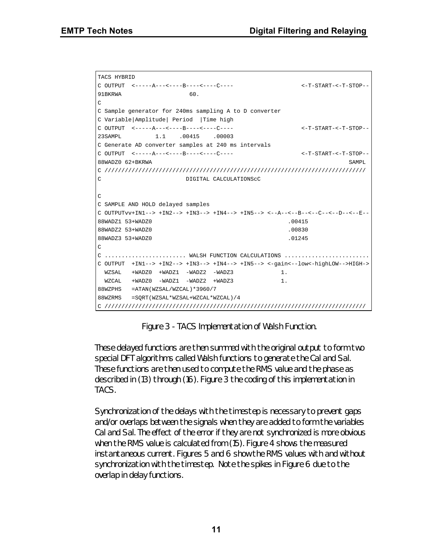```
TACS HYBRID
C OUTPUT <-----A---<----B----<----C---- <-T-START-<-T-STOP--
91BKRWA 60.
\mathsf{C}C Sample generator for 240ms sampling A to D converter
C Variable|Amplitude| Period |Time high
C OUTPUT <-----A---<----B----<----C---- <-T-START-<-T-STOP--
23SAMPL 1.1 .00415 .00003
C Generate AD converter samples at 240 ms intervals
C OUTPUT <-----A---<----B----<----C---- <-T-START-<-T-STOP--
88WADZ0 62+BKRWA SAMPL
C /////////////////////////////////////////////////////////////////////////////
C DIGITAL CALCULATIONScC
C
C SAMPLE AND HOLD delayed samples
C OUTPUTvv+IN1--> +IN2--> +IN3--> +IN4--> +IN5--> <--A--<--B--<--C--<--D--<--E--
88WADZ1 53+WADZ0 .00415
88WADZ2 53+WADZ0 .00830
88WADZ3 53+WADZ0 .01245
\mathcal{C}C ........................ WALSH FUNCTION CALCULATIONS .........................
C OUTPUT +IN1--> +IN2--> +IN3--> +IN4--> +IN5--> <-gain<--low<-highLOW-->HIGH->
WZSAL +WADZ0 +WADZ1 -WADZ2 -WADZ3 1.
WZCAL +WADZ0 -WADZ1 -WADZ2 +WADZ3 1.
88WZPHS =ATAN(WZSAL/WZCAL)*3960/7
88WZRMS =SQRT(WZSAL*WZSAL+WZCAL*WZCAL)/4
C /////////////////////////////////////////////////////////////////////////////
```
*Figure 3 - TACS Implementation of Walsh Function.*

These delayed functions are then summed with the original output to form two special DFT algorithms called Walsh functions to generate the Cal and Sal. These functions are then used to compute the RMS value and the phase as described in (13) through (16). Figure 3 the coding of this implementation in TACS.

Synchronization of the delays with the timestep is necessary to prevent gaps and/or overlaps between the signals when they are added to form the variables Cal and Sal. The effect of the error if they are not synchronized is more obvious when the RMS value is calculated from (15). Figure 4 shows the measured instantaneous current. Figures 5 and 6 show the RMS values with and without synchronization with the timestep. Note the spikes in Figure 6 due to the overlap in delay functions.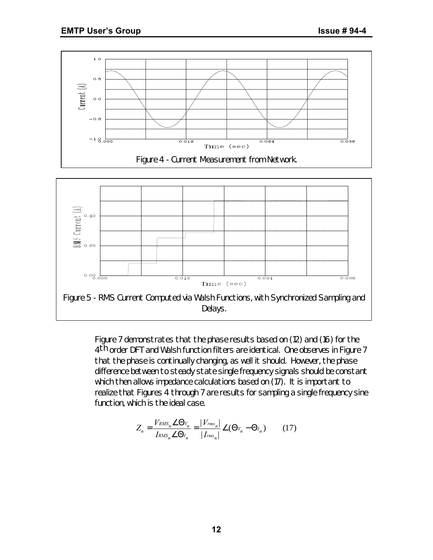



Figure 7 demonstrates that the phase results based on (12) and (16) for the 4th order DFT and Walsh function filters are identical. One observes in Figure 7 that the phase is continually changing, as well it should. However, the phase difference between to steady state single frequency signals should be constant which then allows impedance calculations based on (17). It is important to realize that Figures 4 through 7 are results for sampling a single frequency sine function, which is the ideal case.

$$
Z_n = \frac{V_{RMS_n} \angle \Theta_{V_n}}{I_{RMS_n} \angle \Theta_{I_n}} = \frac{|V_{rms_n}|}{|I_{rms_n}|} \angle (\Theta_{V_n} - \Theta_{I_n}) \tag{17}
$$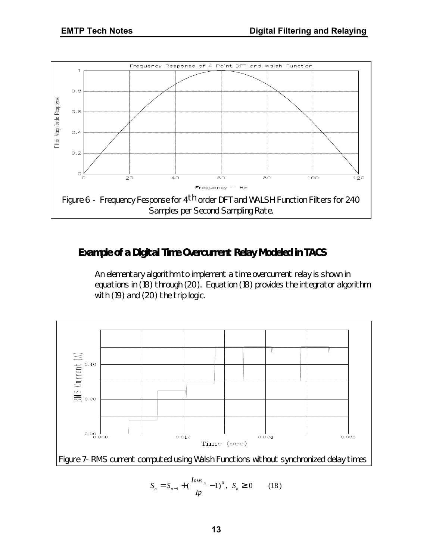

## *Example of a Digital Time Overcurrent Relay Modeled in TACS*

An elementary algorithm to implement a time overcurrent relay is shown in equations in (18) through (20). Equation (18) provides the integrator algorithm with (19) and (20) the trip logic.



$$
S_n = S_{n-1} + \left(\frac{I_{RMS_n}}{Ip} - 1\right)^n, \ \ S_n \ge 0 \tag{18}
$$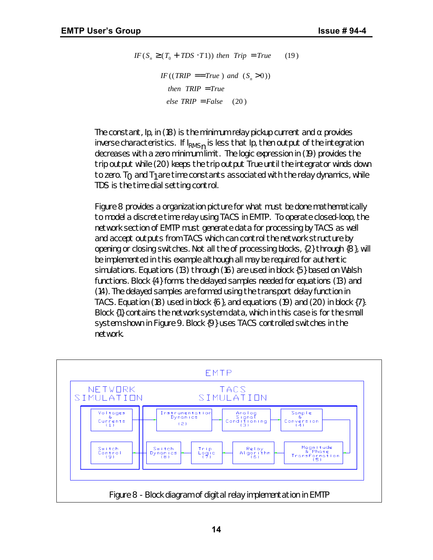$IF(S_n \geq (T_0 + TDS \cdot T1))$  then  $Trip = True$  (19)  $IF((TRIP == True) and (S_n > 0))$  $then$   $TRIP = True$  $else$  *TRIP* = *False*  $(20)$ 

The constant,  $lp$ , in (18) is the minimum relay pickup current and  $\alpha$  provides inverse characteristics. If *IRMSn* is less that *Ip*, then output of the integration decreases with a zero minimum limit. The logic expression in (19) provides the trip output while (20) keeps the trip output True until the integrator winds down to zero.  $I_{\small{O}}$  and  $I_{\small{J}}$  are time constants associated with the relay dynamics, while *TDS* is the time dial setting control.

Figure 8 provides a organization picture for what must be done mathematically to model a discrete time relay using TACS in EMTP. To operate closed-loop, the network section of EMTP must generate data for processing by TACS as well and accept outputs from TACS which can control the network structure by opening or closing switches. Not all the of processing blocks, {2} through {8}, will be implemented in this example although all may be required for authentic simulations. Equations (13) through (16) are used in block {5} based on Walsh functions. Block {4} forms the delayed samples needed for equations (13) and (14). The delayed samples are formed using the transport delay function in TACS. Equation (18) used in block  $\{6\}$ , and equations (19) and (20) in block  $\{7\}$ . Block {1} contains the network system data, which in this case is for the small system shown in Figure 9. Block {9} uses TACS controlled switches in the network.

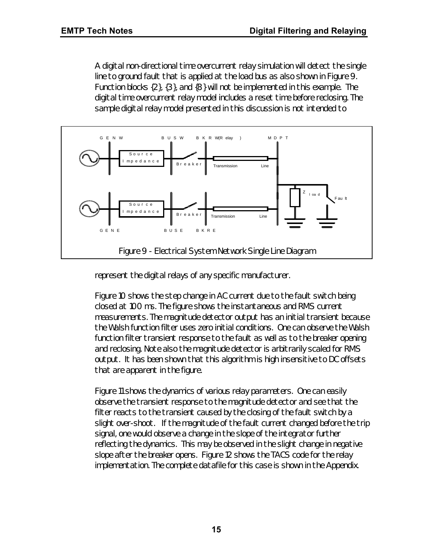A digital non-directional time overcurrent relay simulation will detect the single line to ground fault that is applied at the load bus as also shown in Figure 9. Function blocks {2}, {3}, and {8} will not be implemented in this example. The digital time overcurrent relay model includes a reset time before reclosing. The sample digital relay model presented in this discussion is not intended to



represent the digital relays of any specific manufacturer.

Figure 10 shows the step change in AC current due to the fault switch being closed at 100 ms. The figure shows the instantaneous and RMS current measurements. The magnitude detector output has an initial transient because the Walsh function filter uses zero initial conditions. One can observe the Walsh function filter transient response to the fault as well as to the breaker opening and reclosing. Note also the magnitude detector is arbitrarily scaled for RMS output. It has been shown that this algorithm is high insensitive to DC offsets that are apparent in the figure.

Figure 11 shows the dynamics of various relay parameters. One can easily observe the transient response to the magnitude detector and see that the filter reacts to the transient caused by the closing of the fault switch by a slight over-shoot. If the magnitude of the fault current changed before the trip signal, one would observe a change in the slope of the integrator further reflecting the dynamics. This may be observed in the slight change in negative slope after the breaker opens. Figure 12 shows the TACS code for the relay implementation. The complete datafile for this case is shown in the Appendix.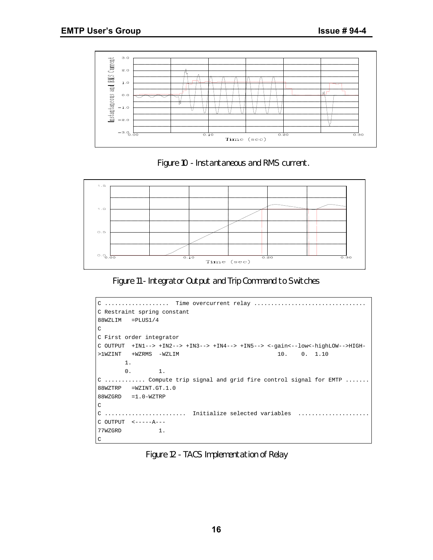

*Figure 10 - Instantaneous and RMS current.*



*Figure 11 - Integrator Output and Trip Command to Switches*

```
C ................... Time overcurrent relay .................................
C Restraint spring constant
88WZLIM =PLUS1/4
\mathsf CC First order integrator
C OUTPUT +IN1--> +IN2--> +IN3--> +IN4--> +IN5--> <-gain<--low<-highLOW-->HIGH-
>1WZINT +WZRMS -WZLIM 10. 0. 1.10
        1.
        0. 1.
C ............ Compute trip signal and grid fire control signal for EMTP .......
88WZTRP =WZINT.GT.1.0
88WZGRD =1.0-WZTRP
\mathrm{C}C ........................ Initialize selected variables .....................
C OUTPUT <-----A---
77WZGRD 1.
\rm C
```
*Figure 12 - TACS Implementation of Relay*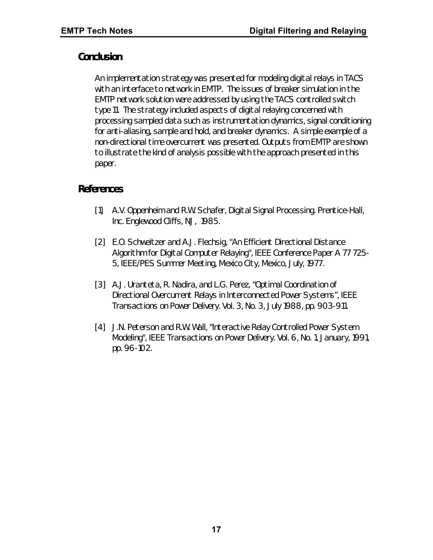## *Conclusion*

An implementation strategy was presented for modeling digital relays in TACS with an interface to network in EMTP. The issues of breaker simulation in the EMTP network solution were addressed by using the TACS controlled switch type 11. The strategy included aspects of digital relaying concerned with processing sampled data such as instrumentation dynamics, signal conditioning for anti-aliasing, sample and hold, and breaker dynamics. A simple example of a non-directional time overcurrent was presented. Outputs from EMTP are shown to illustrate the kind of analysis possible with the approach presented in this paper.

## *References*

- [1] A.V. Oppenheim and R.W. Schafer, *Digital Signal Processing*. Prentice-Hall, Inc. Englewood Cliffs, NJ, 1985.
- [2] E.O. Schweitzer and A.J. Flechsig, "An Efficient Directional Distance Algorithm for Digital Computer Relaying", IEEE Conference Paper A 77 725- 5, IEEE/PES Summer Meeting, Mexico City, Mexico, July, 1977.
- [3] A.J. Uranteta, R. Nadira, and L.G. Perez, "Optimal Coordination of Directional Overcurrent Relays in Interconnected Power Systems", *IEEE Transactions on Power Delivery.* Vol. 3, No. 3, July 1988, pp. 903-911.
- [4] J.N. Peterson and R.W. Wall, "Interactive Relay Controlled Power System Modeling", *IEEE Transactions on Power Delivery.* Vol. 6, No. 1, January, 1991, pp. 96-102.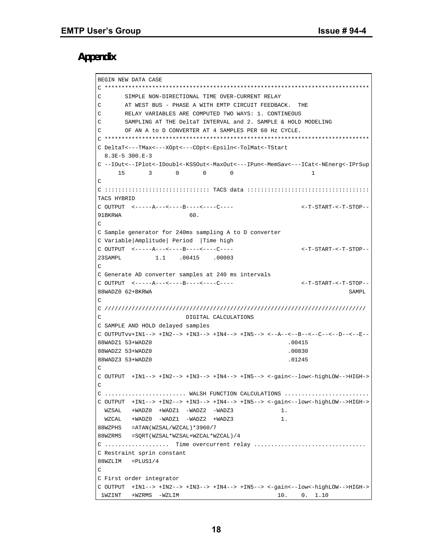#### *Appendix*

```
BEGIN NEW DATA CASE
C ******************************************************************************
C SIMPLE NON-DIRECTIONAL TIME OVER-CURRENT RELAY
C AT WEST BUS - PHASE A WITH EMTP CIRCUIT FEEDBACK. THE
C RELAY VARIABLES ARE COMPUTED TWO WAYS: 1. CONTINEOUS
C SAMPLING AT THE DeltaT INTERVAL and 2. SAMPLE & HOLD MODELING
C OF AN A to D CONVERTER AT 4 SAMPLES PER 60 Hz CYCLE.
C ******************************************************************************
C DeltaT<---TMax<---XOpt<---COpt<-Epsiln<-TolMat<-TStart
  8.3E-5 300.E-3
C --IOut<--IPlot<-IDoubl<-KSSOut<-MaxOut<---IPun<-MemSav<---ICat<-NEnerg<-IPrSup
     15 3 0 0 0 1
\mathcal{C}C ::::::::::::::::::::::::::::::: TACS data ::::::::::::::::::::::::::::::::::::
TACS HYBRID
C OUTPUT <-----A---<----B----<----C---- <-T-START-<-T-STOP--
91BKRWA 60.
\mathcal{C}C Sample generator for 240ms sampling A to D converter
C Variable|Amplitude| Period |Time high
C OUTPUT <-----A---<----B----<----C---- <-T-START-<-T-STOP--
23SAMPL 1.1 .00415 .00003
\mathsf CC Generate AD converter samples at 240 ms intervals
C OUTPUT <-----A---<----B----<----C---- <-T-START-<-T-STOP--
88WADZ0 62+BKRWA SAMPL
\mathsf CC /////////////////////////////////////////////////////////////////////////////
C DIGITAL CALCULATIONS
C SAMPLE AND HOLD delayed samples
C OUTPUTvv+IN1--> +IN2--> +IN3--> +IN4--> +IN5--> <--A--<--B--<--C--<--D--<--E--
88WADZ1 53+WADZ0 .00415
88WADZ2 53+WADZ0 .00830
88WADZ3 53+WADZ0 .01245
C
C OUTPUT +IN1--> +IN2--> +IN3--> +IN4--> +IN5--> <-gain<--low<-highLOW-->HIGH->
\overline{C}C ........................ WALSH FUNCTION CALCULATIONS .........................
C OUTPUT +IN1--> +IN2--> +IN3--> +IN4--> +IN5--> <-gain<--low<-highLOW-->HIGH->
 WZSAL +WADZ0 +WADZ1 -WADZ2 -WADZ3 1.
 WZCAL +WADZ0 -WADZ1 -WADZ2 +WADZ3 1.
88WZPHS =ATAN(WZSAL/WZCAL)*3960/7
88WZRMS =SQRT(WZSAL*WZSAL+WZCAL*WZCAL)/4
C ................... Time overcurrent relay .................................
C Restraint sprin constant
88WZLIM =PLUS1/4
C
C First order integrator
C OUTPUT +IN1--> +IN2--> +IN3--> +IN4--> +IN5--> <-gain<--low<-highLOW-->HIGH->
 1WZINT +WZRMS -WZLIM 10. 0. 1.10
```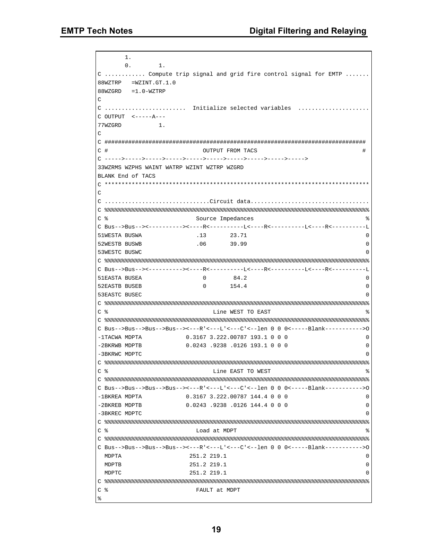```
 1.
      0. 1.
C ............ Compute trip signal and grid fire control signal for EMTP .......
88WZTRP =WZINT.GT.1.0
88WZGRD =1.0-WZTRP
\capC ........................ Initialize selected variables .....................
C OUTPUT \leq - - - - - - - - - - -77WZGRD 1.
\GammaC #############################################################################
C \#C ----->----->----->----->----->----->----->----->----->----->
33WZRMS WZPHS WAINT WATRP WZINT WZTRP WZGRD
BLANK End of TACS
C ******************************************************************************
\GammaC ...............................Circuit data...................................
C %%%%%%%%%%%%%%%%%%%%%%%%%%%%%%%%%%%%%%%%%%%%%%%%%%%%%%%%%%%%%%%%%%%%%%%%%%%%%%
C % Source Impedances %
C Bus-->Bus--><----------><----R<----------L<----R<----------L<----R<----------L
51WESTA BUSWA .13 23.71 0
52WESTB BUSWB .06 39.99 0
53WESTC BUSWC 0
C %%%%%%%%%%%%%%%%%%%%%%%%%%%%%%%%%%%%%%%%%%%%%%%%%%%%%%%%%%%%%%%%%%%%%%%%%%%%%%
C Bus-->Bus--><----------><----R<----------L<----R<----------L<----R<----------L
51EASTA BUSEA 0 84.2 0
52EASTB BUSEB 0 154.4 0
53EASTC BUSEC 0
C %%%%%%%%%%%%%%%%%%%%%%%%%%%%%%%%%%%%%%%%%%%%%%%%%%%%%%%%%%%%%%%%%%%%%%%%%%%%%%
C % Line WEST TO EAST %
C %%%%%%%%%%%%%%%%%%%%%%%%%%%%%%%%%%%%%%%%%%%%%%%%%%%%%%%%%%%%%%%%%%%%%%%%%%%%%%
C Bus-->Bus-->Bus-->Bus--><---R'<---L'<---C'<--len 0 0 0<-----Blank----------->O
-1TACWA MDPTA 0.3167 3.222.00787 193.1 0 0 0 0
-2BKRWB MDPTB 0.0243 .9238 .0126 193.1 0 0 0 0
-3BKRWC MDPTC 0
C %%%%%%%%%%%%%%%%%%%%%%%%%%%%%%%%%%%%%%%%%%%%%%%%%%%%%%%%%%%%%%%%%%%%%%%%%%%%%%
C % Line EAST TO WEST %
C %%%%%%%%%%%%%%%%%%%%%%%%%%%%%%%%%%%%%%%%%%%%%%%%%%%%%%%%%%%%%%%%%%%%%%%%%%%%%%
C Bus-->Bus-->Bus-->Bus--><---R'<---L'<---C'<--len 0 0 0<-----Blank----------->O
-1BKREA MDPTA 0.3167 3.222.00787 144.4 0 0 0 0
-2BKREB MDPTB 0.0243 .9238 .0126 144.4 0 0 0 0
-3RKRC MDPTC 0
C %%%%%%%%%%%%%%%%%%%%%%%%%%%%%%%%%%%%%%%%%%%%%%%%%%%%%%%%%%%%%%%%%%%%%%%%%%%%%%
C % Load at MDPT %
C %%%%%%%%%%%%%%%%%%%%%%%%%%%%%%%%%%%%%%%%%%%%%%%%%%%%%%%%%%%%%%%%%%%%%%%%%%%%%%
C Bus-->Bus-->Bus-->Bus--><---R'<---L'<---C'<--len 0 0 0<-----Blank----------->O
 MDPTA 251.2 219.1 0
MDPTB 251.2 219.1 0
MDPTC 251.2 219.1 0
C %%%%%%%%%%%%%%%%%%%%%%%%%%%%%%%%%%%%%%%%%%%%%%%%%%%%%%%%%%%%%%%%%%%%%%%%%%%%%%
C % FAULT at MDPT
%
```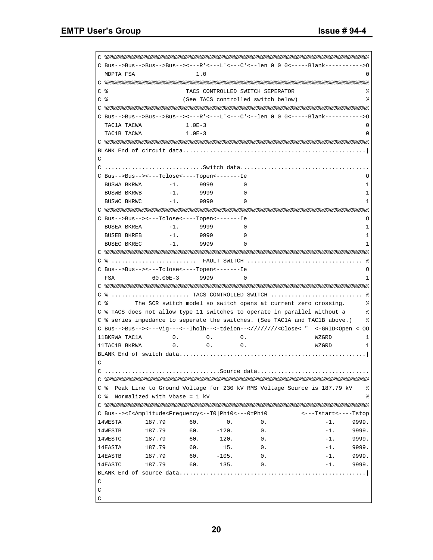|                   |                                                                                                                                                                                          |              |          |          |                                    | C Bus-->Bus-->Bus-->Bus--><---R'<---L'<---C'<--len 0 0 0<-----Blank---------->0                                                                  |          |
|-------------------|------------------------------------------------------------------------------------------------------------------------------------------------------------------------------------------|--------------|----------|----------|------------------------------------|--------------------------------------------------------------------------------------------------------------------------------------------------|----------|
|                   | MDPTA FSA                                                                                                                                                                                |              | 1.0      |          |                                    |                                                                                                                                                  |          |
|                   |                                                                                                                                                                                          |              |          |          |                                    |                                                                                                                                                  |          |
| $C$ $\frac{6}{5}$ |                                                                                                                                                                                          |              |          |          | TACS CONTROLLED SWITCH SEPERATOR   |                                                                                                                                                  | ႜ        |
| $C$ $\approx$     |                                                                                                                                                                                          |              |          |          | (See TACS controlled switch below) |                                                                                                                                                  | 욲        |
|                   |                                                                                                                                                                                          |              |          |          |                                    |                                                                                                                                                  |          |
|                   |                                                                                                                                                                                          |              |          |          |                                    | C Bus-->Bus-->Bus-->Bus--><---R'<---L'<---C'<--len 0 0 0<-----Blank---------->0                                                                  |          |
|                   | TAC1A TACWA                                                                                                                                                                              |              | $1.0E-3$ |          |                                    |                                                                                                                                                  | $\left($ |
|                   | TAC1B TACWA                                                                                                                                                                              |              | $1.0E-3$ |          |                                    |                                                                                                                                                  |          |
|                   |                                                                                                                                                                                          |              |          |          |                                    |                                                                                                                                                  |          |
|                   |                                                                                                                                                                                          |              |          |          |                                    |                                                                                                                                                  |          |
| C                 |                                                                                                                                                                                          |              |          |          |                                    |                                                                                                                                                  |          |
| C                 | Switch data                                                                                                                                                                              |              |          |          |                                    |                                                                                                                                                  |          |
|                   | C Bus-->Bus--><---Tclose<----Topen<-------Ie                                                                                                                                             |              |          |          |                                    |                                                                                                                                                  | O        |
|                   | BUSWA BKRWA                                                                                                                                                                              | $-1$ .       | 9999     | 0        |                                    |                                                                                                                                                  | ı        |
|                   | <b>BUSWB BKRWB</b>                                                                                                                                                                       | $-1$ .       | 9999     | 0        |                                    |                                                                                                                                                  | ı        |
|                   | BUSWC BKRWC                                                                                                                                                                              | $-1$ .       | 9999     |          |                                    |                                                                                                                                                  |          |
|                   |                                                                                                                                                                                          |              |          |          |                                    |                                                                                                                                                  |          |
|                   | C Bus-->Bus--><---Tclose<----Topen<-------Ie                                                                                                                                             |              |          |          |                                    |                                                                                                                                                  | O        |
|                   | BUSEA BKREA                                                                                                                                                                              | $-1$ .       | 9999     | 0        |                                    |                                                                                                                                                  | 1        |
|                   | <b>BUSEB BKREB</b>                                                                                                                                                                       | $-1$ .       | 9999     | 0        |                                    |                                                                                                                                                  | ı        |
|                   | BUSEC BKREC                                                                                                                                                                              | $-1$ .       | 9999     |          |                                    |                                                                                                                                                  |          |
|                   |                                                                                                                                                                                          |              |          |          |                                    |                                                                                                                                                  |          |
| C %               |                                                                                                                                                                                          |              |          |          |                                    | $\ldots \ldots \ldots \ldots \ldots \ldots \ldots$ . FAULT SWITCH $\ldots \ldots \ldots \ldots \ldots \ldots \ldots \ldots \ldots \ldots \ldots$ |          |
|                   | C Bus-->Bus--><---Tclose<----Topen<-------Ie                                                                                                                                             |              |          |          |                                    |                                                                                                                                                  | O        |
|                   |                                                                                                                                                                                          |              |          |          |                                    |                                                                                                                                                  |          |
|                   | FSA                                                                                                                                                                                      | $60.00E - 3$ | 9999     | $\Omega$ |                                    |                                                                                                                                                  |          |
|                   |                                                                                                                                                                                          |              |          |          |                                    |                                                                                                                                                  |          |
| С                 |                                                                                                                                                                                          |              |          |          |                                    | $\ldots \ldots \ldots \ldots \ldots \ldots$ . TACS CONTROLLED SWITCH $\ldots \ldots \ldots \ldots \ldots \ldots \ldots \ldots$                   | °        |
| $C$ $\frac{6}{5}$ |                                                                                                                                                                                          |              |          |          |                                    | The SCR switch model so switch opens at current zero crossing.                                                                                   | ႜ        |
|                   |                                                                                                                                                                                          |              |          |          |                                    | C % TACS does not allow type 11 switches to operate in parallel without a                                                                        | ႜ        |
|                   |                                                                                                                                                                                          |              |          |          |                                    | C % series impedance to seperate the switches. (See TAClA and TAClB above.)                                                                      | ႜ        |
|                   |                                                                                                                                                                                          |              |          |          |                                    | C Bus-->Bus--><---Vig---<--Iholh--<-tdeion-- //////<Close< " <-GRID<Open < 00</td <td></td>                                                      |          |
|                   | 11BKRWA TAC1A                                                                                                                                                                            | 0.           | 0.       | 0.       |                                    | WZGRD                                                                                                                                            | 1        |
|                   | 11TAC1B BKRWA                                                                                                                                                                            | 0.           | 0.       | 0.       |                                    | WZGRD                                                                                                                                            | 1        |
|                   | BLANK End of switch data                                                                                                                                                                 |              |          |          |                                    |                                                                                                                                                  |          |
| С                 |                                                                                                                                                                                          |              |          |          |                                    |                                                                                                                                                  |          |
| С                 |                                                                                                                                                                                          |              |          |          |                                    |                                                                                                                                                  |          |
|                   |                                                                                                                                                                                          |              |          |          |                                    |                                                                                                                                                  |          |
|                   |                                                                                                                                                                                          |              |          |          |                                    | C % Peak Line to Ground Voltage for 230 kV RMS Voltage Source is 187.79 kV %                                                                     |          |
|                   | C % Normalized with Vbase = 1 kV                                                                                                                                                         |              |          |          |                                    |                                                                                                                                                  | ႜ        |
|                   |                                                                                                                                                                                          |              |          |          |                                    |                                                                                                                                                  |          |
|                   | C Bus--> <i<amplitude<frequency<--t0 phi0<---0=phi0< td=""><td></td><td></td><td></td><td></td><td>&lt;---Tstart&lt;----Tstop</td><td></td></i<amplitude<frequency<--t0 phi0<---0=phi0<> |              |          |          |                                    | <---Tstart<----Tstop                                                                                                                             |          |
|                   | 14WESTA                                                                                                                                                                                  | 187.79       | 60.      | 0.       | 0.                                 | $-1$ .                                                                                                                                           | 9999.    |
|                   | 14WESTB                                                                                                                                                                                  | 187.79       | 60.      | $-120.$  | 0.                                 | $-1$ .                                                                                                                                           | 9999.    |
|                   | 14WESTC                                                                                                                                                                                  | 187.79       | 60.      | 120.     | 0.                                 | $-1$ .                                                                                                                                           | 9999.    |
|                   | 14EASTA                                                                                                                                                                                  | 187.79       | 60.      | 15.      | 0.                                 | $-1$ .                                                                                                                                           | 9999.    |
|                   | 14EASTB                                                                                                                                                                                  | 187.79       | 60.      | $-105.$  | 0.                                 | $-1$ .                                                                                                                                           | 9999.    |
|                   | 14EASTC                                                                                                                                                                                  | 187.79       | 60.      | 135.     | 0.                                 | $-1$ .                                                                                                                                           | 9999.    |
|                   | BLANK End of source data                                                                                                                                                                 |              |          |          |                                    |                                                                                                                                                  |          |
| С                 |                                                                                                                                                                                          |              |          |          |                                    |                                                                                                                                                  |          |
| C                 |                                                                                                                                                                                          |              |          |          |                                    |                                                                                                                                                  |          |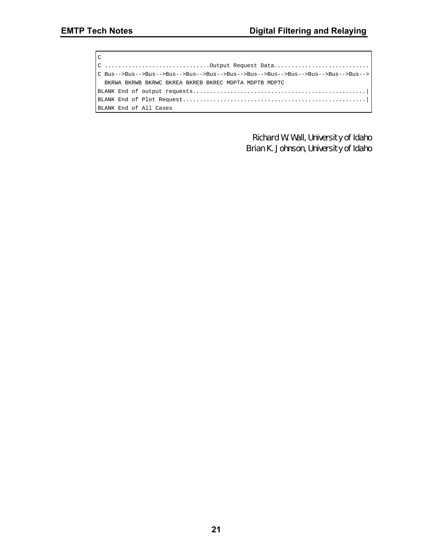٦

| $\overline{C}$                                                                                            |
|-----------------------------------------------------------------------------------------------------------|
|                                                                                                           |
| $ C_{\text{Bus--}}\rangle$ Bus-->Bus-->Bus-->Bus-->Bus-->Bus-->Bus-->Bus-->Bus-->Bus-->Bus-->Bus-->Bus--> |
| BKRWA BKRWB BKRWC BKREA BKREB BKREC MDPTA MDPTB MDPTC                                                     |
|                                                                                                           |
|                                                                                                           |
| BLANK End of All Cases                                                                                    |

*Richard W. Wall, University of Idaho Brian K. Johnson, University of Idaho*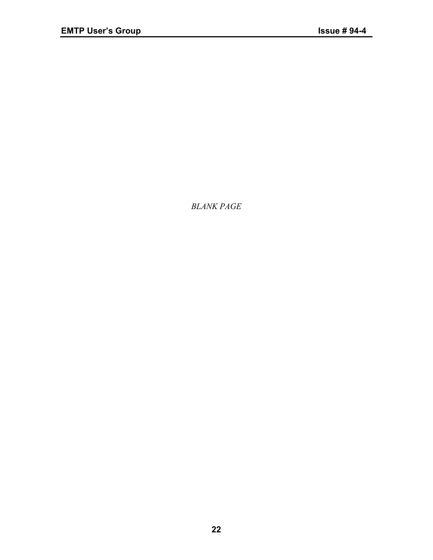*BLANK PAGE*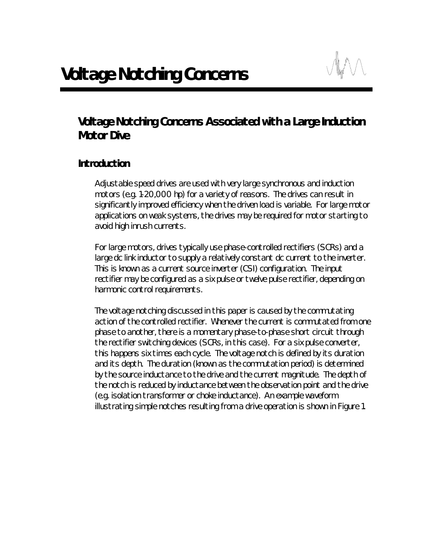# *Voltage Notching Concerns Associated with a Large Induction Motor Dive*

## *Introduction*

Adjustable speed drives are used with very large synchronous and induction motors (e.g. 1-20,000 hp) for a variety of reasons. The drives can result in significantly improved efficiency when the driven load is variable. For large motor applications on weak systems, the drives may be required for motor starting to avoid high inrush currents.

For large motors, drives typically use phase-controlled rectifiers (SCRs) and a large dc link inductor to supply a relatively constant dc current to the inverter. This is known as a current source inverter (CSI) configuration. The input rectifier may be configured as a six pulse or twelve pulse rectifier, depending on harmonic control requirements.

The voltage notching discussed in this paper is caused by the commutating action of the controlled rectifier. Whenever the current is commutated from one phase to another, there is a momentary phase-to-phase short circuit through the rectifier switching devices (SCRs, in this case). For a six pulse converter, this happens six times each cycle. The voltage notch is defined by its duration and its depth. The duration (known as the commutation period) is determined by the source inductance to the drive and the current magnitude. The depth of the notch is reduced by inductance between the observation point and the drive (e.g. isolation transformer or choke inductance). An example waveform illustrating simple notches resulting from a drive operation is shown in Figure 1.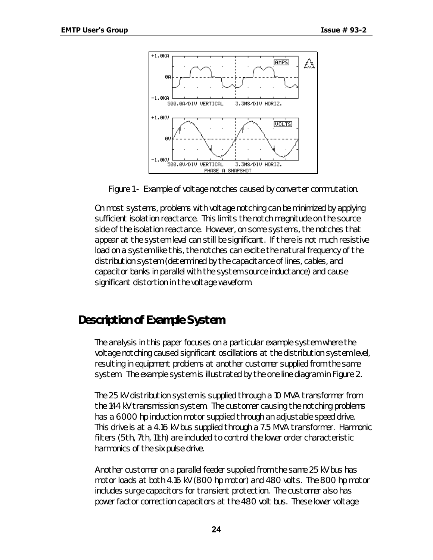

*Figure 1 - Example of voltage notches caused by converter commutation.*

On most systems, problems with voltage notching can be minimized by applying sufficient isolation reactance. This limits the notch magnitude on the source side of the isolation reactance. However, on some systems, the notches that appear at the system level can still be significant. If there is not much resistive load on a system like this, the notches can excite the natural frequency of the distribution system (determined by the capacitance of lines, cables, and capacitor banks in parallel with the system source inductance) and cause significant distortion in the voltage waveform.

# *Description of Example System*

The analysis in this paper focuses on a particular example system where the voltage notching caused significant oscillations at the distribution system level, resulting in equipment problems at another customer supplied from the same system. The example system is illustrated by the one line diagram in Figure 2.

The 25 kV distribution system is supplied through a 10 MVA transformer from the 144 kV transmission system. The customer causing the notching problems has a 6000 hp induction motor supplied through an adjustable speed drive. This drive is at a 4.16 kV bus supplied through a 7.5 MVA transformer. Harmonic filters (5th, 7th, 11th) are included to control the lower order characteristic harmonics of the six pulse drive.

Another customer on a parallel feeder supplied from the same 25 kV bus has motor loads at both 4.16 kV (800 hp motor) and 480 volts. The 800 hp motor includes surge capacitors for transient protection. The customer also has power factor correction capacitors at the 480 volt bus. These lower voltage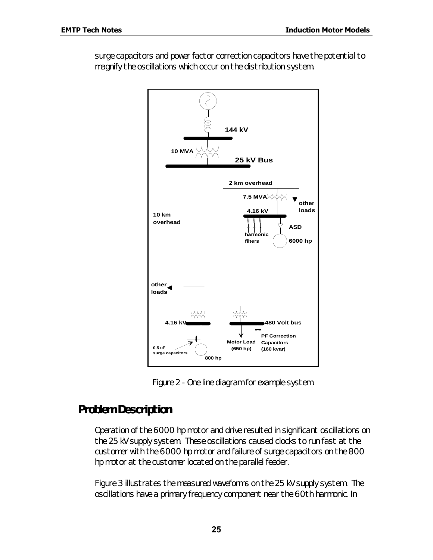

surge capacitors and power factor correction capacitors have the potential to magnify the oscillations which occur on the distribution system.

*Figure 2 - One line diagram for example system.*

# *Problem Description*

Operation of the 6000 hp motor and drive resulted in significant oscillations on the 25 kV supply system. These oscillations caused clocks to run fast at the customer with the 6000 hp motor and failure of surge capacitors on the 800 hp motor at the customer located on the parallel feeder.

Figure 3 illustrates the measured waveforms on the 25 kV supply system. The oscillations have a primary frequency component near the 60th harmonic. In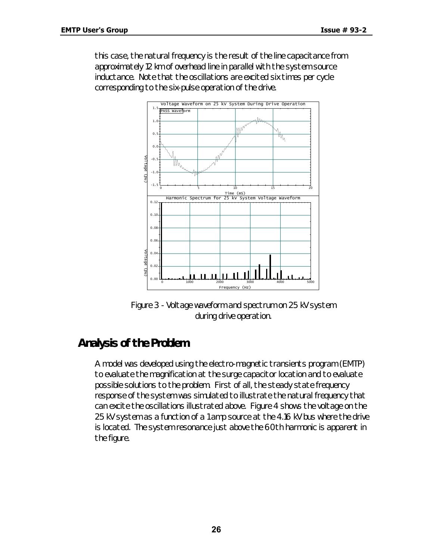this case, the natural frequency is the result of the line capacitance from approximately 12 km of overhead line in parallel with the system source inductance. Note that the oscillations are excited six times per cycle corresponding to the six-pulse operation of the drive.



Figure 3 - Voltage waveform and spectrum on 25 kV system during drive operation.

# *Analysis of the Problem*

A model was developed using the electro-magnetic transients program (EMTP) to evaluate the magnification at the surge capacitor location and to evaluate possible solutions to the problem. First of all, the steady state frequency response of the system was simulated to illustrate the natural frequency that can excite the oscillations illustrated above. Figure 4 shows the voltage on the 25 kV system as a function of a 1 amp source at the 4.16 kV bus where the drive is located. The system resonance just above the 60th harmonic is apparent in the figure.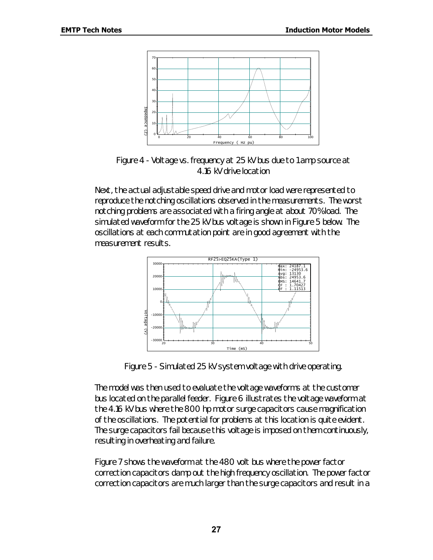

*Figure 4 - Voltage vs. frequency at 25 kV bus due to 1 amp source at 4.16 kV drive location*

Next, the actual adjustable speed drive and motor load were represented to reproduce the notching oscillations observed in the measurements. The worst notching problems are associated with a firing angle at about 70% load. The simulated waveform for the 25 kV bus voltage is shown in Figure 5 below. The oscillations at each commutation point are in good agreement with the measurement results.



*Figure 5 - Simulated 25 kV system voltage with drive operating.*

The model was then used to evaluate the voltage waveforms at the customer bus located on the parallel feeder. Figure 6 illustrates the voltage waveform at the 4.16 kV bus where the 800 hp motor surge capacitors cause magnification of the oscillations. The potential for problems at this location is quite evident. The surge capacitors fail because this voltage is imposed on them continuously, resulting in overheating and failure.

Figure 7 shows the waveform at the 480 volt bus where the power factor correction capacitors damp out the high frequency oscillation. The power factor correction capacitors are much larger than the surge capacitors and result in a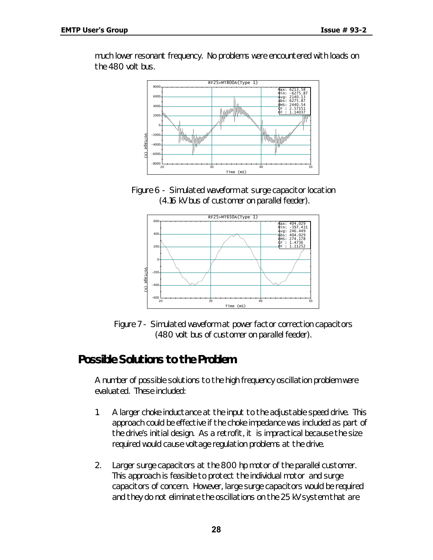much lower resonant frequency. No problems were encountered with loads on the 480 volt bus.



*Figure 6 - Simulated waveform at surge capacitor location (4.16 kV bus of customer on parallel feeder).*



*Figure 7 - Simulated waveform at power factor correction capacitors (480 volt bus of customer on parallel feeder).*

# *Possible Solutions to the Problem*

A number of possible solutions to the high frequency oscillation problem were evaluated. These included:

- 1. A larger choke inductance at the input to the adjustable speed drive. This approach could be effective if the choke impedance was included as part of the drive's initial design. As a retrofit, it is impractical because the size required would cause voltage regulation problems at the drive.
- 2. Larger surge capacitors at the 800 hp motor of the parallel customer. This approach is feasible to protect the individual motor and surge capacitors of concern. However, large surge capacitors would be required and they do not eliminate the oscillations on the 25 kV system that are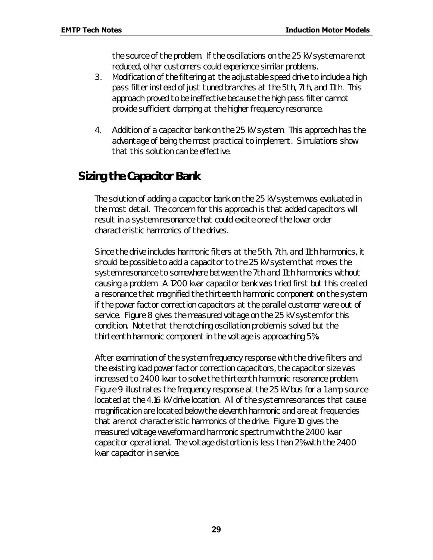the source of the problem. If the oscillations on the 25 kV system are not reduced, other customers could experience similar problems.

- 3. Modification of the filtering at the adjustable speed drive to include a high pass filter instead of just tuned branches at the 5th, 7th, and 11th. This approach proved to be ineffective because the high pass filter cannot provide sufficient damping at the higher frequency resonance.
- 4. Addition of a capacitor bank on the 25 kV system. This approach has the advantage of being the most practical to implement. Simulations show that this solution can be effective.

# *Sizing the Capacitor Bank*

The solution of adding a capacitor bank on the 25 kV system was evaluated in the most detail. The concern for this approach is that added capacitors will result in a system resonance that could excite one of the lower order characteristic harmonics of the drives.

Since the drive includes harmonic filters at the 5th, 7th, and 11th harmonics, it should be possible to add a capacitor to the 25 kV system that moves the system resonance to somewhere between the 7th and 11th harmonics without causing a problem. A 1200 kvar capacitor bank was tried first but this created a resonance that magnified the thirteenth harmonic component on the system if the power factor correction capacitors at the parallel customer were out of service. Figure 8 gives the measured voltage on the 25 kV system for this condition. Note that the notching oscillation problem is solved but the thirteenth harmonic component in the voltage is approaching 5%.

After examination of the system frequency response with the drive filters and the existing load power factor correction capacitors, the capacitor size was increased to 2400 kvar to solve the thirteenth harmonic resonance problem. Figure 9 illustrates the frequency response at the 25 kV bus for a 1 amp source located at the 4.16 kV drive location. All of the system resonances that cause magnification are located below the eleventh harmonic and are at frequencies that are not characteristic harmonics of the drive. Figure 10 gives the measured voltage waveform and harmonic spectrum with the 2400 kvar capacitor operational. The voltage distortion is less than 2% with the 2400 kvar capacitor in service.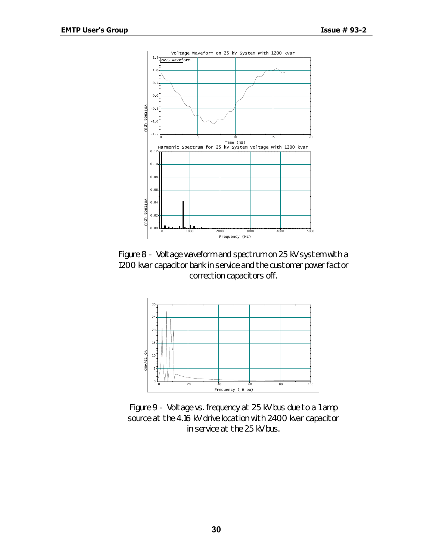

Figure 8 - Voltage waveform and spectrum on 25 kV system with a 1200 kvar capacitor bank in service and the customer power factor correction capacitors off.



Figure 9 - Voltage vs. frequency at 25 kV bus due to a 1 amp source at the 4.16 kV drive location with 2400 kvar capacitor in service at the 25 kV bus.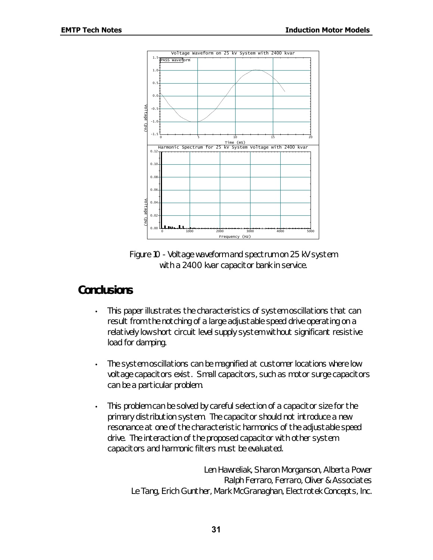

Figure 10 - Voltage waveform and spectrum on 25 kV system with a 2400 kvar capacitor bank in service.

## *Conclusions*

- This paper illustrates the characteristics of system oscillations that can result from the notching of a large adjustable speed drive operating on a relatively low short circuit level supply system without significant resistive load for damping.
- The system oscillations can be magnified at customer locations where low voltage capacitors exist. Small capacitors, such as motor surge capacitors can be a particular problem.
- This problem can be solved by careful selection of a capacitor size for the primary distribution system. The capacitor should not introduce a new resonance at one of the characteristic harmonics of the adjustable speed drive. The interaction of the proposed capacitor with other system capacitors and harmonic filters must be evaluated.

Len Hawreliak, Sharon Morganson, Alberta Power Ralph Ferraro, Ferraro, Oliver & Associates Le Tang, Erich Gunther, Mark McGranaghan, Electrotek Concepts, Inc.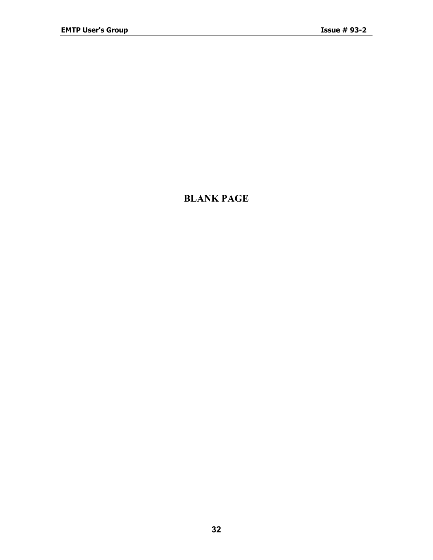**BLANK PAGE**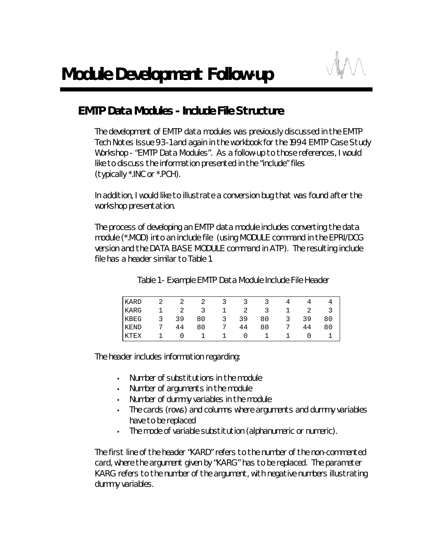# *EMTP Data Modules - Include File Structure*

The development of EMTP data modules was previously discussed in the EMTP Tech Notes Issue 93-1 and again in the workbook for the 1994 EMTP Case Study Workshop - "EMTP Data Modules". As a follow-up to those references, I would like to discuss the information presented in the "include" files (typically \*.INC or \*.PCH).

In addition, I would like to illustrate a conversion bug that was found after the workshop presentation.

The process of developing an EMTP data module includes converting the data module (\*.MOD) into an include file (using MODULE command in the EPRI/DCG version and the DATA BASE MODULE command in ATP). The resulting include file has a header similar to Table 1.

| KARD        | 2 | 2  | 2  | 3 |    |    |   |    |    |
|-------------|---|----|----|---|----|----|---|----|----|
| <b>KARG</b> |   |    | 3  |   |    | ર  |   |    |    |
| KBEG        | ર | 39 | 80 | 3 | 39 | 80 | 3 | 39 | 80 |
| KEND        |   | 44 | 80 |   | 44 | 80 |   | 44 | 80 |
| KTEX        |   |    |    |   |    |    |   |    |    |

*Table 1 - Example EMTP Data Module Include File Header*

The header includes information regarding:

- Number of substitutions in the module
- Number of arguments in the module
- Number of dummy variables in the module
- The cards (rows) and columns where arguments and dummy variables have to be replaced
- The mode of variable substitution (alphanumeric or numeric).

The first line of the header "KARD" refers to the number of the non-commented card, where the argument given by "KARG" has to be replaced. The parameter KARG refers to the number of the argument, with negative numbers illustrating dummy variables.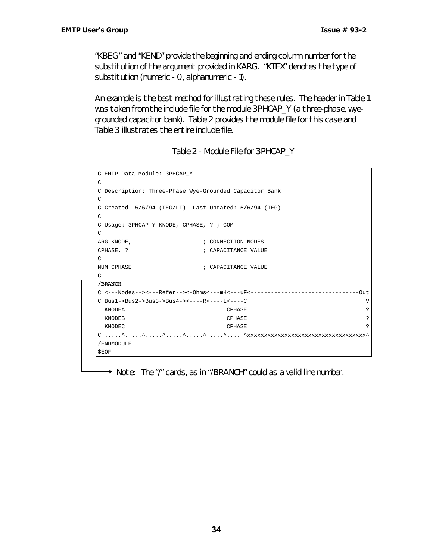"KBEG" and "KEND" provide the beginning and ending column number for the substitution of the argument provided in KARG. "KTEX" denotes the type of substitution (numeric - 0, alphanumeric - 1).

An example is the best method for illustrating these rules. The header in Table 1 was taken from the include file for the module 3PHCAP Y (a three-phase, wyegrounded capacitor bank). Table 2 provides the module file for this case and Table 3 illustrates the entire include file.

```
C EMTP Data Module: 3PHCAP_Y
\overline{C}C Description: Three-Phase Wye-Grounded Capacitor Bank
\mathcal{C}C Created: 5/6/94 (TEG/LT) Last Updated: 5/6/94 (TEG)
\mathsf CC Usage: 3PHCAP_Y KNODE, CPHASE, ? ; COM
C
\begin{array}{cccc}\n\text{ARG} & \text{KNODE}\n\end{array},\n\begin{array}{cccc}\n\text{CONNECTION} & \text{NODES}\n\end{array}CPHASE, ?                                   ; CAPACITANCE VALUE
\overline{C}NUM CPHASE \qquad \qquad ; \qquad CAPACITANCE VALUE
\overline{C}/BRANCH
C <---Nodes--><---Refer--><-Ohms<---mH<---uF<--------------------------------Out
C Bus1->Bus2->Bus3->Bus4-><----R<----L<----C V
 KNODEA CPHASE ?
 KNODEB CPHASE ?
 KNODEC CPHASE ?
C .....^.....^.....^.....^.....^.....^.....^xxxxxxxxxxxxxxxxxxxxxxxxxxxxxxxxxxx^
/ENDMODULE
$EOF
```
*Table 2 - Module File for 3PHCAP\_Y*

Note: The "/" cards, as in "/BRANCH" could as a valid line number.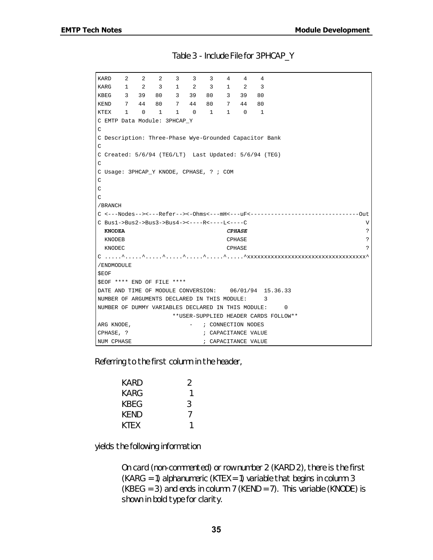*Table 3 - Include File for 3PHCAP\_Y*

| KARD                                                   | 2 | $\overline{a}$ | 2  | 3 | 3            | 3                       | 4                   | 4                    | 4  |                                                       |
|--------------------------------------------------------|---|----------------|----|---|--------------|-------------------------|---------------------|----------------------|----|-------------------------------------------------------|
| KARG                                                   | 1 | 2              | 3  | 1 | $\mathbf{2}$ | $\overline{\mathbf{3}}$ | 1                   | 2                    | 3  |                                                       |
| KBEG 3                                                 |   | 39             | 80 | 3 | 39           | 80                      | 3                   | 39                   | 80 |                                                       |
| KEND                                                   | 7 | 44             | 80 | 7 | 44           | 80                      | 7                   | 44                   | 80 |                                                       |
| KTEX                                                   | 1 | $\mathbf 0$    | 1  | 1 | $\mathbf 0$  | 1                       | $\mathbf 1$         | 0                    | 1  |                                                       |
| C EMTP Data Module: 3PHCAP_Y                           |   |                |    |   |              |                         |                     |                      |    |                                                       |
| C                                                      |   |                |    |   |              |                         |                     |                      |    |                                                       |
| C Description: Three-Phase Wye-Grounded Capacitor Bank |   |                |    |   |              |                         |                     |                      |    |                                                       |
| C                                                      |   |                |    |   |              |                         |                     |                      |    |                                                       |
| C Created: 5/6/94 (TEG/LT) Last Updated: 5/6/94 (TEG)  |   |                |    |   |              |                         |                     |                      |    |                                                       |
| C                                                      |   |                |    |   |              |                         |                     |                      |    |                                                       |
| C Usage: 3PHCAP_Y KNODE, CPHASE, ? ; COM               |   |                |    |   |              |                         |                     |                      |    |                                                       |
| C                                                      |   |                |    |   |              |                         |                     |                      |    |                                                       |
| C                                                      |   |                |    |   |              |                         |                     |                      |    |                                                       |
| C                                                      |   |                |    |   |              |                         |                     |                      |    |                                                       |
| /BRANCH                                                |   |                |    |   |              |                         |                     |                      |    |                                                       |
|                                                        |   |                |    |   |              |                         |                     |                      |    |                                                       |
| $C$ Bus1->Bus2->Bus3->Bus4-><----R<----L<----C         |   |                |    |   |              |                         |                     |                      |    | V                                                     |
| <b>KNODEA</b>                                          |   |                |    |   |              |                         |                     | <i><b>CPHASE</b></i> |    | ?                                                     |
| KNODEB                                                 |   |                |    |   |              |                         |                     | CPHASE               |    | ?                                                     |
| KNODEC                                                 |   |                |    |   |              |                         |                     | CPHASE               |    | 2                                                     |
|                                                        |   |                |    |   |              |                         |                     |                      |    |                                                       |
| /ENDMODULE                                             |   |                |    |   |              |                         |                     |                      |    |                                                       |
| <b>SEOF</b>                                            |   |                |    |   |              |                         |                     |                      |    |                                                       |
| SEOF **** END OF FILE ****                             |   |                |    |   |              |                         |                     |                      |    |                                                       |
|                                                        |   |                |    |   |              |                         |                     |                      |    | DATE AND TIME OF MODULE CONVERSION: 06/01/94 15.36.33 |
| NUMBER OF ARGUMENTS DECLARED IN THIS MODULE:           |   |                |    |   |              |                         |                     |                      | 3  |                                                       |
| NUMBER OF DUMMY VARIABLES DECLARED IN THIS MODULE:     |   |                |    |   |              |                         |                     |                      |    | $\Omega$                                              |
|                                                        |   |                |    |   |              |                         |                     |                      |    | ** USER-SUPPLIED HEADER CARDS FOLLOW **               |
| ARG KNODE,                                             |   |                |    |   |              |                         | ; CONNECTION NODES  |                      |    |                                                       |
| CPHASE, ?                                              |   |                |    |   |              |                         | ; CAPACITANCE VALUE |                      |    |                                                       |
| NUM CPHASE                                             |   |                |    |   |              |                         | ; CAPACITANCE VALUE |                      |    |                                                       |

Referring to the first column in the header,

| KARD | ン        |
|------|----------|
| KARG |          |
| KBEG | 3        |
| KEND | $\prime$ |
| KTEX |          |

yields the following information

On card (non-commented) or row number 2 (KARD 2), there is the first (KARG = 1) alphanumeric (KTEX = 1) variable that begins in column 3 (KBEG = 3) and ends in column 7 (KEND = 7). This variable (KNODE) is shown in bold type for clarity.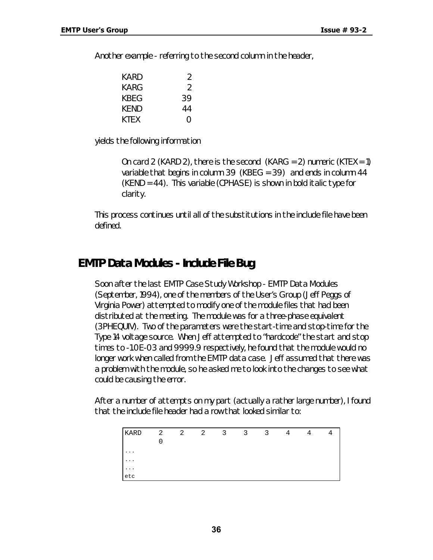Another example - referring to the second column in the header,

| KARD | 2  |
|------|----|
| KARG | 2  |
| KBEG | 39 |
| KFND | 44 |
| KTFX | Ω  |

yields the following information

On card 2 (KARD 2), there is the second (KARG = 2) numeric (KTEX = 1) variable that begins in column 39 (KBEG = 39) and ends in column 44 (KEND = 44). This variable (CPHASE) is shown in bold italic type for clarity.

This process continues until all of the substitutions in the include file have been defined.

# *EMTP Data Modules - Include File Bug*

Soon after the last EMTP Case Study Workshop - EMTP Data Modules (September, 1994), one of the members of the User's Group (Jeff Peggs of Virginia Power) attempted to modify one of the module files that had been distributed at the meeting. The module was for a three-phase equivalent (3PHEQUIV). Two of the parameters were the start-time and stop-time for the Type 14 voltage source. When Jeff attempted to "hardcode" the start and stop times to -1.0E-03 and 9999.9 respectively, he found that the module would no longer work when called from the EMTP data case. Jeff assumed that there was a problem with the module, so he asked me to look into the changes to see what could be causing the error.

After a number of attempts on my part (actually a rather large number), I found that the include file header had a row that looked similar to:

| KARD     | $\overline{2}$<br>0 | 2 | $\overline{2}$ | $\overline{3}$ | 3 | 3 | 4 | 4 |  |
|----------|---------------------|---|----------------|----------------|---|---|---|---|--|
| $\cdots$ |                     |   |                |                |   |   |   |   |  |
| $\cdots$ |                     |   |                |                |   |   |   |   |  |
| $\cdots$ |                     |   |                |                |   |   |   |   |  |
| etc      |                     |   |                |                |   |   |   |   |  |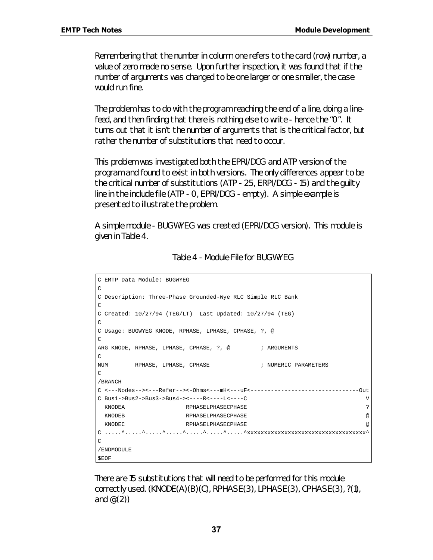Remembering that the number in column one refers to the card (row) number, a value of zero made no sense. Upon further inspection, it was found that if the number of arguments was changed to be one larger or one smaller, the case would run fine.

The problem has to do with the program reaching the end of a line, doing a linefeed, and then finding that there is nothing else to write - hence the "0". It turns out that it isn't the number of arguments that is the critical factor, but rather the number of substitutions that need to occur.

This problem was investigated both the EPRI/DCG and ATP version of the program and found to exist in both versions. The only differences appear to be the critical number of substitutions (ATP - 25, ERPI/DCG - 15) and the guilty line in the include file (ATP - 0, EPRI/DCG - empty). A simple example is presented to illustrate the problem.

A simple module - BUGWYEG was created (EPRI/DCG version). This module is given in Table 4.

```
C EMTP Data Module: BUGWYEG
\overline{C}C Description: Three-Phase Grounded-Wye RLC Simple RLC Bank
\GammaC Created: 10/27/94 (TEG/LT) Last Updated: 10/27/94 (TEG)
\overline{C}C Usage: BUGWYEG KNODE, RPHASE, LPHASE, CPHASE, ?, @
\capARG KNODE, RPHASE, LPHASE, CPHASE, ?, @ ; ARGUMENTS
\mathsf{C}NUM RPHASE, LPHASE, CPHASE \overline{a} ; numeric parameters
\Gamma/BRANCH
C <---Nodes--><---Refer--><-Ohms<---mH<---uF<--------------------------------Out
C \cdot \text{Bus1} \rightarrow \text{Bus2} \rightarrow \text{Bus3} \rightarrow \text{Bus4} \rightarrow \text{S} \rightarrow \text{R} \times \text{S} \rightarrow \text{R} \times \text{S} \rightarrow \text{R} \times \text{S} \rightarrow \text{R} \times \text{S} \rightarrow \text{R} \times \text{S} \rightarrow \text{R} \times \text{S} \rightarrow \text{R} \times \text{S} \rightarrow \text{R} \times \text{S} \rightarrow \text{R} \times \text{S} \rightarrow \text{R} \times \text{S} \rightarrow \text{R} \times \text{S} \rightarrow \text{R} \times \text{S} \rightarrow \text{R} \times \text{KNODEA RPHASELPHASECPHASE PRODUCT ASSESSED ASSAULT ?
  KNODEB RPHASELPHASECPHASE @
  KNODEC RPHASELPHASECPHASE @
C .....^.....^.....^.....^.....^.....^.....^xxxxxxxxxxxxxxxxxxxxxxxxxxxxxxxxxxx^
\overline{C}/ENDMODULE
$EOF
```
*Table 4 - Module File for BUGWYEG*

There are 15 substitutions that will need to be performed for this module correctly used. (KNODE(A)(B)(C), RPHASE(3), LPHASE(3), CPHASE(3), ?(1), and  $\mathcal{Q}(2)$ )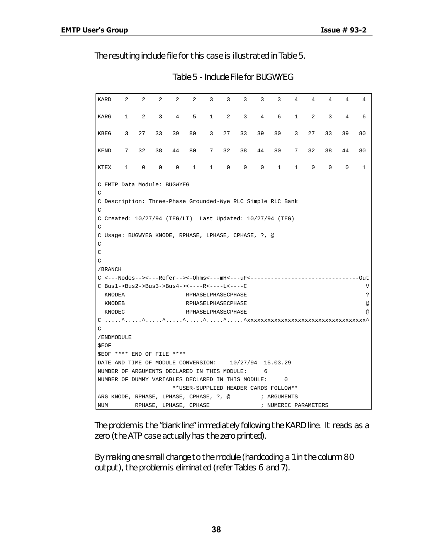The resulting include file for this case is illustrated in Table 5.

| KARD                                                                                                                                                                   | 2            | 2  | 2           | 2           | 2                                       | 3            | 3           | 3           | 3           | 3                    | 4            | 4  | 4           | 4           | 4    |
|------------------------------------------------------------------------------------------------------------------------------------------------------------------------|--------------|----|-------------|-------------|-----------------------------------------|--------------|-------------|-------------|-------------|----------------------|--------------|----|-------------|-------------|------|
| KARG                                                                                                                                                                   | 1            | 2  | 3           | 4           | 5                                       | $\mathbf 1$  | 2           | 3           | 4           | 6                    | 1            | 2  | 3           | 4           | 6    |
|                                                                                                                                                                        |              |    |             |             |                                         |              |             |             |             |                      |              |    |             |             |      |
| KBEG                                                                                                                                                                   | 3            | 27 | 33          | 39          | 80                                      | 3            | 27          | 33          | 39          | 80                   | 3            | 27 | 33          | 39          | 80   |
| KEND                                                                                                                                                                   | 7            | 32 | 38          | 44          | 80                                      | 7            | 32          | 38          | 44          | 80                   | 7            | 32 | 38          | 44          | 80   |
| KTEX                                                                                                                                                                   | $\mathbf{1}$ | 0  | $\mathbf 0$ | $\mathbf 0$ | 1                                       | $\mathbf{1}$ | $\mathbf 0$ | $\mathbf 0$ | $\mathbf 0$ | $\mathbf{1}$         | $\mathbf{1}$ | 0  | $\mathbf 0$ | $\mathbf 0$ | 1    |
| C EMTP Data Module: BUGWYEG<br>C<br>C Description: Three-Phase Grounded-Wye RLC Simple RLC Bank<br>C<br>C Created: 10/27/94 (TEG/LT) Last Updated: 10/27/94 (TEG)<br>C |              |    |             |             |                                         |              |             |             |             |                      |              |    |             |             |      |
| C Usage: BUGWYEG KNODE, RPHASE, LPHASE, CPHASE, ?, @                                                                                                                   |              |    |             |             |                                         |              |             |             |             |                      |              |    |             |             |      |
| C                                                                                                                                                                      |              |    |             |             |                                         |              |             |             |             |                      |              |    |             |             |      |
| C                                                                                                                                                                      |              |    |             |             |                                         |              |             |             |             |                      |              |    |             |             |      |
| C                                                                                                                                                                      |              |    |             |             |                                         |              |             |             |             |                      |              |    |             |             |      |
| /BRANCH                                                                                                                                                                |              |    |             |             |                                         |              |             |             |             |                      |              |    |             |             |      |
| C <---Nodes--><---Refer--><-0hms<---mH<---uF<-----------------------------                                                                                             |              |    |             |             |                                         |              |             |             |             |                      |              |    |             |             | -Out |
| C Bus1->Bus2->Bus3->Bus4-><----R<----L<----C                                                                                                                           |              |    |             |             |                                         |              |             |             |             |                      |              |    |             |             | V    |
| KNODEA                                                                                                                                                                 |              |    |             |             | RPHASELPHASECPHASE                      |              |             |             |             |                      |              |    |             |             | S.   |
| KNODEB                                                                                                                                                                 |              |    |             |             | RPHASELPHASECPHASE                      |              |             |             |             |                      |              |    |             |             | @    |
| KNODEC                                                                                                                                                                 |              |    |             |             | RPHASELPHASECPHASE                      |              |             |             |             |                      |              |    |             |             | ω    |
| $C_1, \ldots, \hat{C}_1, \ldots, \hat{C}_2, \ldots, \hat{C}_1, \ldots, \hat{C}_2, \ldots, \hat{C}_n, \ldots, \hat{C}_n$ xxxxxxxxxxxxxxxxxxxxxxxxxxxxxxxxx              |              |    |             |             |                                         |              |             |             |             |                      |              |    |             |             |      |
| C                                                                                                                                                                      |              |    |             |             |                                         |              |             |             |             |                      |              |    |             |             |      |
| /ENDMODULE                                                                                                                                                             |              |    |             |             |                                         |              |             |             |             |                      |              |    |             |             |      |
| <b>SEOF</b>                                                                                                                                                            |              |    |             |             |                                         |              |             |             |             |                      |              |    |             |             |      |
| \$EOF **** END OF FILE ****                                                                                                                                            |              |    |             |             |                                         |              |             |             |             |                      |              |    |             |             |      |
| DATE AND TIME OF MODULE CONVERSION: 10/27/94 15.03.29                                                                                                                  |              |    |             |             |                                         |              |             |             |             |                      |              |    |             |             |      |
| NUMBER OF ARGUMENTS DECLARED IN THIS MODULE:                                                                                                                           |              |    |             |             |                                         |              |             |             | 6           |                      |              |    |             |             |      |
| NUMBER OF DUMMY VARIABLES DECLARED IN THIS MODULE:                                                                                                                     |              |    |             |             |                                         |              |             |             |             | 0                    |              |    |             |             |      |
|                                                                                                                                                                        |              |    |             |             | ** USER-SUPPLIED HEADER CARDS FOLLOW ** |              |             |             |             |                      |              |    |             |             |      |
| ARG KNODE, RPHASE, LPHASE, CPHASE, ?, @                                                                                                                                |              |    |             |             |                                         |              |             |             |             | ; ARGUMENTS          |              |    |             |             |      |
| <b>NUM</b>                                                                                                                                                             |              |    |             |             | RPHASE, LPHASE, CPHASE                  |              |             |             |             | ; NUMERIC PARAMETERS |              |    |             |             |      |

| Table 5 - Include File for BUGWYEG |
|------------------------------------|
|------------------------------------|

The problem is the "blank line" immediately following the KARD line. It reads as a zero (the ATP case actually has the zero printed).

By making one small change to the module (hardcoding a 1 in the column 80 output), the problem is eliminated (refer Tables 6 and 7).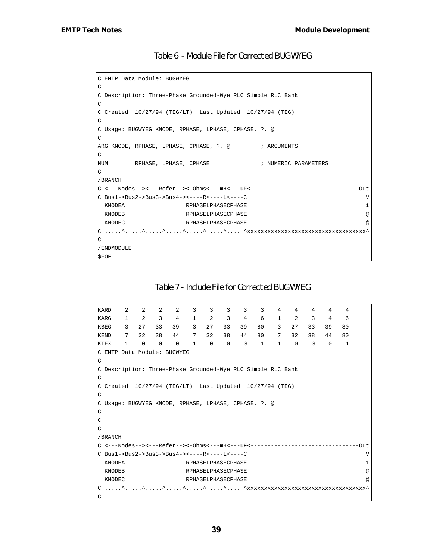*Table 6 - Module File for Corrected BUGWYEG*

| C EMTP Data Module: BUGWYEG<br>$\mathcal{C}$                                                                                                              |  |  |  |  |  |  |  |  |  |  |  |  |  |
|-----------------------------------------------------------------------------------------------------------------------------------------------------------|--|--|--|--|--|--|--|--|--|--|--|--|--|
| C Description: Three-Phase Grounded-Wye RLC Simple RLC Bank<br>C                                                                                          |  |  |  |  |  |  |  |  |  |  |  |  |  |
| C Created: 10/27/94 (TEG/LT) Last Updated: 10/27/94 (TEG)<br>C                                                                                            |  |  |  |  |  |  |  |  |  |  |  |  |  |
| C Usage: BUGWYEG KNODE, RPHASE, LPHASE, CPHASE, ?, @<br>$\mathcal{C}$                                                                                     |  |  |  |  |  |  |  |  |  |  |  |  |  |
| ARG KNODE, RPHASE, LPHASE, CPHASE, ?, @     ARGUMENTS<br>$\mathcal{C}$                                                                                    |  |  |  |  |  |  |  |  |  |  |  |  |  |
| ; NUMERIC PARAMETERS<br>NUM RPHASE, LPHASE, CPHASE                                                                                                        |  |  |  |  |  |  |  |  |  |  |  |  |  |
| $\mathcal{C}$                                                                                                                                             |  |  |  |  |  |  |  |  |  |  |  |  |  |
| /BRANCH                                                                                                                                                   |  |  |  |  |  |  |  |  |  |  |  |  |  |
|                                                                                                                                                           |  |  |  |  |  |  |  |  |  |  |  |  |  |
| $C$ Bus1->Bus2->Bus3->Bus4-><----R<----L<----C<br>V                                                                                                       |  |  |  |  |  |  |  |  |  |  |  |  |  |
| KNODEA<br>RPHASELPHASECPHASE<br>1                                                                                                                         |  |  |  |  |  |  |  |  |  |  |  |  |  |
| KNODEB<br>RPHASELPHASECPHASE<br>@                                                                                                                         |  |  |  |  |  |  |  |  |  |  |  |  |  |
| KNODEC<br>RPHASELPHASECPHASE<br>@                                                                                                                         |  |  |  |  |  |  |  |  |  |  |  |  |  |
| $C_1, \ldots, \hat{C}_1, \ldots, \hat{C}_1, \ldots, \hat{C}_1, \ldots, \hat{C}_1, \ldots, \hat{C}_1, \ldots, \hat{C}_N$ xxxxxxxxxxxxxxxxxxxxxxxxxxxxxxxxx |  |  |  |  |  |  |  |  |  |  |  |  |  |
| C                                                                                                                                                         |  |  |  |  |  |  |  |  |  |  |  |  |  |
| /ENDMODULE                                                                                                                                                |  |  |  |  |  |  |  |  |  |  |  |  |  |
| SEOF                                                                                                                                                      |  |  |  |  |  |  |  |  |  |  |  |  |  |

## *Table 7 - Include File for Corrected BUGWYEG*

| <b>KARD</b>                                                 | 2                                                   | $\mathfrak{D}$ | 2 <sup>0</sup> | $\overline{2}$ | $\mathcal{L}$          | 3                         | $\mathcal{L}$ | 3        | 3            | 4            | 4        | 4        | 4        | 4            |   |
|-------------------------------------------------------------|-----------------------------------------------------|----------------|----------------|----------------|------------------------|---------------------------|---------------|----------|--------------|--------------|----------|----------|----------|--------------|---|
| KARG                                                        | $\mathbf{1}$                                        | $2^{\circ}$    | 3              | 4              | $1 \quad \Box$         | 2                         | 3             | 4        | 6            | 1            | 2        | 3        | 4        | 6            |   |
| KBEG                                                        | 3                                                   | 27             | 33             | 39             | $3^{\circ}$            | 27                        | 33            | 39       | 80           | 3            | 27       | 33       | 39       | 80           |   |
| KEND                                                        | 7                                                   | 32             | 38             | 44             | 7                      | 32                        | 38            | 44       | 80           | 7            | 32       | 38       | 44       | 80           |   |
| KTEX                                                        | $\mathbf{1}$                                        | $\Omega$       | $\Omega$       | $\Omega$       | $1 \quad \blacksquare$ | $\Omega$                  | $\Omega$      | $\Omega$ | $\mathbf{1}$ | $\mathbf{1}$ | $\Omega$ | $\Omega$ | $\Omega$ | $\mathbf{1}$ |   |
|                                                             | C EMTP Data Module: BUGWYEG                         |                |                |                |                        |                           |               |          |              |              |          |          |          |              |   |
| C                                                           |                                                     |                |                |                |                        |                           |               |          |              |              |          |          |          |              |   |
| C Description: Three-Phase Grounded-Wye RLC Simple RLC Bank |                                                     |                |                |                |                        |                           |               |          |              |              |          |          |          |              |   |
| C                                                           |                                                     |                |                |                |                        |                           |               |          |              |              |          |          |          |              |   |
| C Created: 10/27/94 (TEG/LT) Last Updated: 10/27/94 (TEG)   |                                                     |                |                |                |                        |                           |               |          |              |              |          |          |          |              |   |
| $\mathcal{C}$                                               |                                                     |                |                |                |                        |                           |               |          |              |              |          |          |          |              |   |
| C Usage: BUGWYEG KNODE, RPHASE, LPHASE, CPHASE, ?, @        |                                                     |                |                |                |                        |                           |               |          |              |              |          |          |          |              |   |
| $\mathcal{C}$                                               |                                                     |                |                |                |                        |                           |               |          |              |              |          |          |          |              |   |
| C                                                           |                                                     |                |                |                |                        |                           |               |          |              |              |          |          |          |              |   |
| C                                                           |                                                     |                |                |                |                        |                           |               |          |              |              |          |          |          |              |   |
| /BRANCH                                                     |                                                     |                |                |                |                        |                           |               |          |              |              |          |          |          |              |   |
|                                                             |                                                     |                |                |                |                        |                           |               |          |              |              |          |          |          |              |   |
|                                                             | $C$ Bus1->Bus2->Bus3->Bus4-><----R<----L<----C<br>V |                |                |                |                        |                           |               |          |              |              |          |          |          |              |   |
| <b>KNODEA</b>                                               |                                                     |                |                |                |                        | <b>RPHASELPHASECPHASE</b> |               |          |              |              |          |          |          |              | 1 |
| KNODEB                                                      |                                                     |                |                |                |                        | RPHASELPHASECPHASE        |               |          |              |              |          |          |          |              | @ |
| KNODEC                                                      |                                                     |                |                |                |                        | RPHASELPHASECPHASE        |               |          |              |              |          |          |          |              | @ |
| C                                                           |                                                     |                |                |                |                        |                           |               |          |              |              |          |          |          |              |   |
| C                                                           |                                                     |                |                |                |                        |                           |               |          |              |              |          |          |          |              |   |